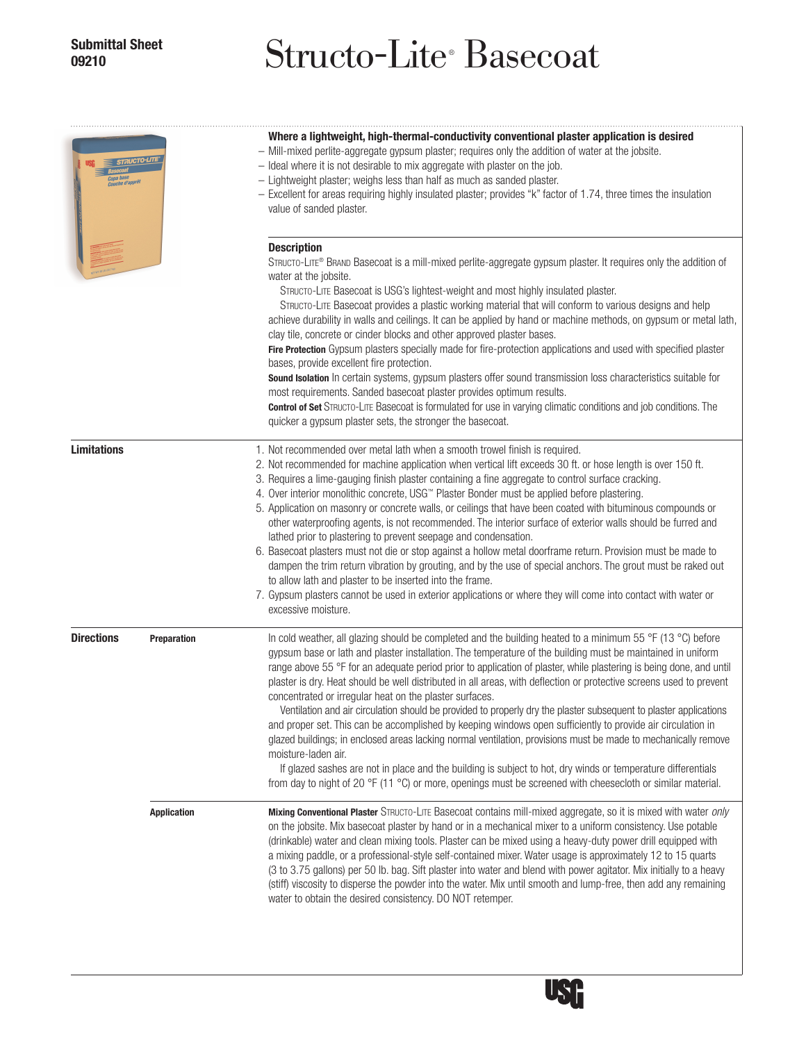## **Submittal Sheet**

# **<sup>09210</sup>** Structo-Lite® Basecoat

| $\equiv$ STRUCTO-LITE |                    | Where a lightweight, high-thermal-conductivity conventional plaster application is desired<br>- Mill-mixed perlite-aggregate gypsum plaster; requires only the addition of water at the jobsite.<br>- Ideal where it is not desirable to mix aggregate with plaster on the job.<br>- Lightweight plaster; weighs less than half as much as sanded plaster.<br>- Excellent for areas requiring highly insulated plaster; provides "k" factor of 1.74, three times the insulation<br>value of sanded plaster.<br><b>Description</b><br>STRUCTO-LITE® BRAND Basecoat is a mill-mixed perlite-aggregate gypsum plaster. It requires only the addition of<br>water at the jobsite.<br>STRUCTO-LITE Basecoat is USG's lightest-weight and most highly insulated plaster.<br>STRUCTO-LITE Basecoat provides a plastic working material that will conform to various designs and help<br>achieve durability in walls and ceilings. It can be applied by hand or machine methods, on gypsum or metal lath,<br>clay tile, concrete or cinder blocks and other approved plaster bases.<br>Fire Protection Gypsum plasters specially made for fire-protection applications and used with specified plaster<br>bases, provide excellent fire protection.<br>Sound Isolation In certain systems, gypsum plasters offer sound transmission loss characteristics suitable for<br>most requirements. Sanded basecoat plaster provides optimum results.<br><b>Control of Set</b> STRUCTO-LITE Basecoat is formulated for use in varying climatic conditions and job conditions. The<br>quicker a gypsum plaster sets, the stronger the basecoat. |  |  |  |
|-----------------------|--------------------|--------------------------------------------------------------------------------------------------------------------------------------------------------------------------------------------------------------------------------------------------------------------------------------------------------------------------------------------------------------------------------------------------------------------------------------------------------------------------------------------------------------------------------------------------------------------------------------------------------------------------------------------------------------------------------------------------------------------------------------------------------------------------------------------------------------------------------------------------------------------------------------------------------------------------------------------------------------------------------------------------------------------------------------------------------------------------------------------------------------------------------------------------------------------------------------------------------------------------------------------------------------------------------------------------------------------------------------------------------------------------------------------------------------------------------------------------------------------------------------------------------------------------------------------------------------------------------------------------------------------------------|--|--|--|
|                       |                    |                                                                                                                                                                                                                                                                                                                                                                                                                                                                                                                                                                                                                                                                                                                                                                                                                                                                                                                                                                                                                                                                                                                                                                                                                                                                                                                                                                                                                                                                                                                                                                                                                                |  |  |  |
| <b>Directions</b>     | Preparation        | In cold weather, all glazing should be completed and the building heated to a minimum 55 $\degree$ F (13 $\degree$ C) before<br>gypsum base or lath and plaster installation. The temperature of the building must be maintained in uniform<br>range above 55 °F for an adequate period prior to application of plaster, while plastering is being done, and until<br>plaster is dry. Heat should be well distributed in all areas, with deflection or protective screens used to prevent<br>concentrated or irregular heat on the plaster surfaces.<br>Ventilation and air circulation should be provided to properly dry the plaster subsequent to plaster applications<br>and proper set. This can be accomplished by keeping windows open sufficiently to provide air circulation in<br>glazed buildings; in enclosed areas lacking normal ventilation, provisions must be made to mechanically remove<br>moisture-laden air.<br>If glazed sashes are not in place and the building is subject to hot, dry winds or temperature differentials<br>from day to night of 20 °F (11 °C) or more, openings must be screened with cheesecloth or similar material.                                                                                                                                                                                                                                                                                                                                                                                                                                                               |  |  |  |
|                       | <b>Application</b> | Mixing Conventional Plaster STRUCTO-LITE Basecoat contains mill-mixed aggregate, so it is mixed with water only<br>on the jobsite. Mix basecoat plaster by hand or in a mechanical mixer to a uniform consistency. Use potable<br>(drinkable) water and clean mixing tools. Plaster can be mixed using a heavy-duty power drill equipped with<br>a mixing paddle, or a professional-style self-contained mixer. Water usage is approximately 12 to 15 quarts<br>(3 to 3.75 gallons) per 50 lb. bag. Sift plaster into water and blend with power agitator. Mix initially to a heavy<br>(stiff) viscosity to disperse the powder into the water. Mix until smooth and lump-free, then add any remaining<br>water to obtain the desired consistency. DO NOT retemper.                                                                                                                                                                                                                                                                                                                                                                                                                                                                                                                                                                                                                                                                                                                                                                                                                                                            |  |  |  |